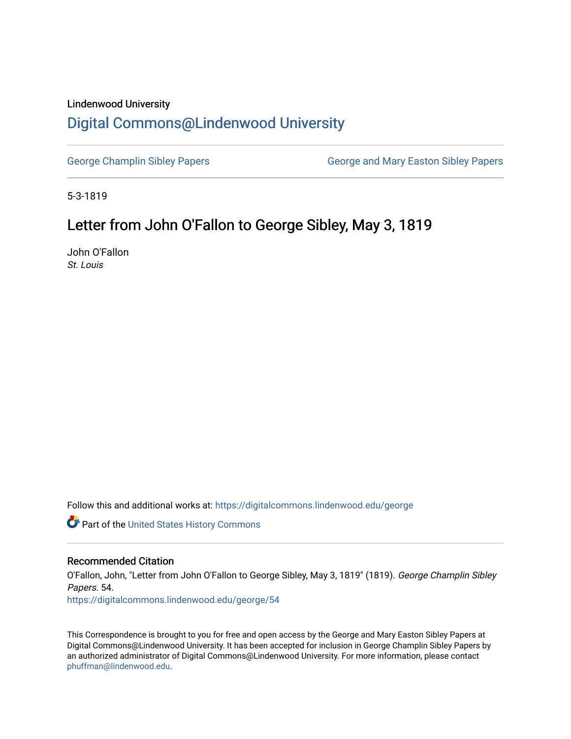## Lindenwood University

## [Digital Commons@Lindenwood University](https://digitalcommons.lindenwood.edu/)

[George Champlin Sibley Papers](https://digitalcommons.lindenwood.edu/george) George and Mary Easton Sibley Papers

5-3-1819

## Letter from John O'Fallon to George Sibley, May 3, 1819

John O'Fallon St. Louis

Follow this and additional works at: [https://digitalcommons.lindenwood.edu/george](https://digitalcommons.lindenwood.edu/george?utm_source=digitalcommons.lindenwood.edu%2Fgeorge%2F54&utm_medium=PDF&utm_campaign=PDFCoverPages)

Part of the [United States History Commons](http://network.bepress.com/hgg/discipline/495?utm_source=digitalcommons.lindenwood.edu%2Fgeorge%2F54&utm_medium=PDF&utm_campaign=PDFCoverPages) 

## Recommended Citation

O'Fallon, John, "Letter from John O'Fallon to George Sibley, May 3, 1819" (1819). George Champlin Sibley Papers. 54. [https://digitalcommons.lindenwood.edu/george/54](https://digitalcommons.lindenwood.edu/george/54?utm_source=digitalcommons.lindenwood.edu%2Fgeorge%2F54&utm_medium=PDF&utm_campaign=PDFCoverPages) 

This Correspondence is brought to you for free and open access by the George and Mary Easton Sibley Papers at Digital Commons@Lindenwood University. It has been accepted for inclusion in George Champlin Sibley Papers by an authorized administrator of Digital Commons@Lindenwood University. For more information, please contact [phuffman@lindenwood.edu](mailto:phuffman@lindenwood.edu).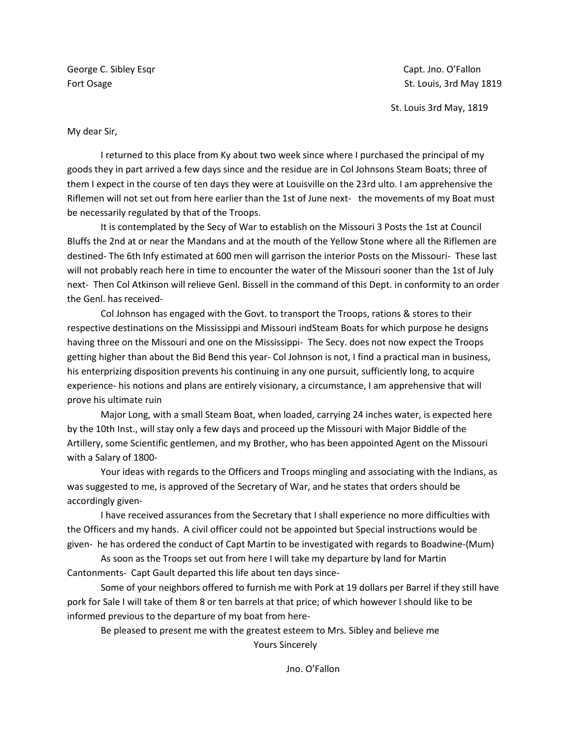George C. Sibley Esqr Capt. And Capt. Jno. O'Fallon Capt. Jno. O'Fallon Capt. Jno. O'Fallon

Fort Osage St. Louis, 3rd May 1819

St. Louis 3rd May, 1819

My dear Sir,

I returned to this place from Ky about two week since where I purchased the principal of my goods they in part arrived a few days since and the residue are in Col Johnsons Steam Boats; three of them I expect in the course of ten days they were at Louisville on the 23rd ulto. I am apprehensive the Riflemen will not set out from here earlier than the 1st of June next- the movements of my Boat must be necessarily regulated by that of the Troops.

It is contemplated by the Secy of War to establish on the Missouri 3 Posts the 1st at Council Bluffs the 2nd at or near the Mandans and at the mouth of the Yellow Stone where all the Riflemen are destined- The 6th Infy estimated at 600 men will garrison the interior Posts on the Missouri- These last will not probably reach here in time to encounter the water of the Missouri sooner than the 1st of July next- Then Col Atkinson will relieve Genl. Bissell in the command of this Dept. in conformity to an order the Genl. has received-

Col Johnson has engaged with the Govt. to transport the Troops, rations & stores to their respective destinations on the Mississippi and Missouri indSteam Boats for which purpose he designs having three on the Missouri and one on the Mississippi- The Secy. does not now expect the Troops getting higher than about the Bid Bend this year- Col Johnson is not, I find a practical man in business, his enterprizing disposition prevents his continuing in any one pursuit, sufficiently long, to acquire experience- his notions and plans are entirely visionary, a circumstance, I am apprehensive that will prove his ultimate ruin

Major Long, with a small Steam Boat, when loaded, carrying 24 inches water, is expected here by the 10th Inst., will stay only a few days and proceed up the Missouri with Major Biddle of the Artillery, some Scientific gentlemen, and my Brother, who has been appointed Agent on the Missouri with a Salary of 1800-

Your ideas with regards to the Officers and Troops mingling and associating with the Indians, as was suggested to me, is approved of the Secretary of War, and he states that orders should be accordingly given-

I have received assurances from the Secretary that I shall experience no more difficulties with the Officers and my hands. A civil officer could not be appointed but Special instructions would be given- he has ordered the conduct of Capt Martin to be investigated with regards to Boadwine-(Mum)

As soon as the Troops set out from here I will take my departure by land for Martin Cantonments- Capt Gault departed this life about ten days since-

Some of your neighbors offered to furnish me with Pork at 19 dollars per Barrel if they still have pork for Sale I will take of them 8 or ten barrels at that price; of which however I should like to be informed previous to the departure of my boat from here-

Be pleased to present me with the greatest esteem to Mrs. Sibley and believe me Yours Sincerely

Jno. O'Fallon